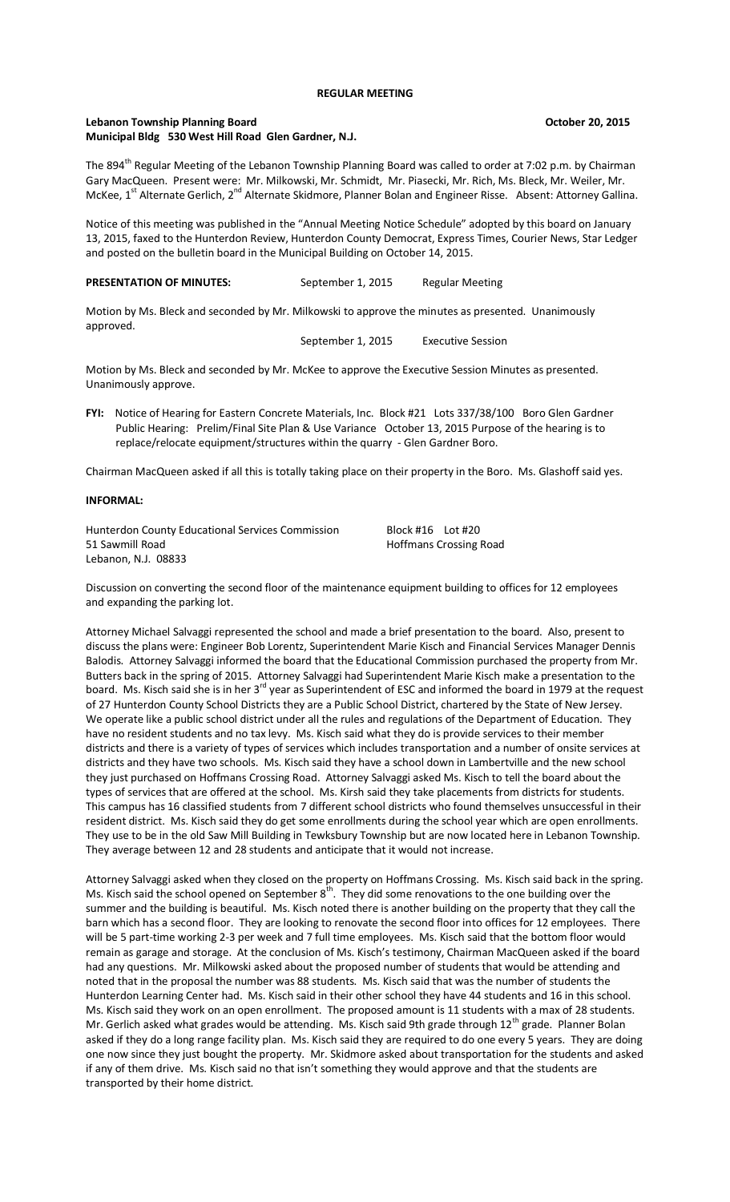#### **REGULAR MEETING**

# Lebanon Township Planning Board **Community Construction Construction** Corresponding October 20, 2015 **Municipal Bldg 530 West Hill Road Glen Gardner, N.J.**

The 894<sup>th</sup> Regular Meeting of the Lebanon Township Planning Board was called to order at 7:02 p.m. by Chairman Gary MacQueen. Present were: Mr. Milkowski, Mr. Schmidt, Mr. Piasecki, Mr. Rich, Ms. Bleck, Mr. Weiler, Mr. McKee, 1<sup>st</sup> Alternate Gerlich, 2<sup>nd</sup> Alternate Skidmore, Planner Bolan and Engineer Risse. Absent: Attorney Gallina.

Notice of this meeting was published in the "Annual Meeting Notice Schedule" adopted by this board on January 13, 2015, faxed to the Hunterdon Review, Hunterdon County Democrat, Express Times, Courier News, Star Ledger and posted on the bulletin board in the Municipal Building on October 14, 2015.

PRESENTATION OF MINUTES: September 1, 2015 Regular Meeting

Motion by Ms. Bleck and seconded by Mr. Milkowski to approve the minutes as presented. Unanimously approved.

September 1, 2015 Executive Session

Motion by Ms. Bleck and seconded by Mr. McKee to approve the Executive Session Minutes as presented. Unanimously approve.

**FYI:** Notice of Hearing for Eastern Concrete Materials, Inc. Block #21 Lots 337/38/100 Boro Glen Gardner Public Hearing: Prelim/Final Site Plan & Use Variance October 13, 2015 Purpose of the hearing is to replace/relocate equipment/structures within the quarry - Glen Gardner Boro.

Chairman MacQueen asked if all this is totally taking place on their property in the Boro. Ms. Glashoff said yes.

#### **INFORMAL:**

Hunterdon County Educational Services Commission Block #16 Lot #20 51 Sawmill Road Hoffmans Crossing Road

Lebanon, N.J. 08833

Discussion on converting the second floor of the maintenance equipment building to offices for 12 employees and expanding the parking lot.

Attorney Michael Salvaggi represented the school and made a brief presentation to the board. Also, present to discuss the plans were: Engineer Bob Lorentz, Superintendent Marie Kisch and Financial Services Manager Dennis Balodis. Attorney Salvaggi informed the board that the Educational Commission purchased the property from Mr. Butters back in the spring of 2015. Attorney Salvaggi had Superintendent Marie Kisch make a presentation to the board. Ms. Kisch said she is in her 3<sup>rd</sup> year as Superintendent of ESC and informed the board in 1979 at the request of 27 Hunterdon County School Districts they are a Public School District, chartered by the State of New Jersey. We operate like a public school district under all the rules and regulations of the Department of Education. They have no resident students and no tax levy. Ms. Kisch said what they do is provide services to their member districts and there is a variety of types of services which includes transportation and a number of onsite services at districts and they have two schools. Ms. Kisch said they have a school down in Lambertville and the new school they just purchased on Hoffmans Crossing Road. Attorney Salvaggi asked Ms. Kisch to tell the board about the types of services that are offered at the school. Ms. Kirsh said they take placements from districts for students. This campus has 16 classified students from 7 different school districts who found themselves unsuccessful in their resident district. Ms. Kisch said they do get some enrollments during the school year which are open enrollments. They use to be in the old Saw Mill Building in Tewksbury Township but are now located here in Lebanon Township. They average between 12 and 28 students and anticipate that it would not increase.

Attorney Salvaggi asked when they closed on the property on Hoffmans Crossing. Ms. Kisch said back in the spring. Ms. Kisch said the school opened on September  $8<sup>th</sup>$ . They did some renovations to the one building over the summer and the building is beautiful. Ms. Kisch noted there is another building on the property that they call the barn which has a second floor. They are looking to renovate the second floor into offices for 12 employees. There will be 5 part-time working 2-3 per week and 7 full time employees. Ms. Kisch said that the bottom floor would remain as garage and storage. At the conclusion of Ms. Kisch's testimony, Chairman MacQueen asked if the board had any questions. Mr. Milkowski asked about the proposed number of students that would be attending and noted that in the proposal the number was 88 students. Ms. Kisch said that was the number of students the Hunterdon Learning Center had. Ms. Kisch said in their other school they have 44 students and 16 in this school. Ms. Kisch said they work on an open enrollment. The proposed amount is 11 students with a max of 28 students. Mr. Gerlich asked what grades would be attending. Ms. Kisch said 9th grade through 12<sup>th</sup> grade. Planner Bolan asked if they do a long range facility plan. Ms. Kisch said they are required to do one every 5 years. They are doing one now since they just bought the property. Mr. Skidmore asked about transportation for the students and asked if any of them drive. Ms. Kisch said no that isn't something they would approve and that the students are transported by their home district.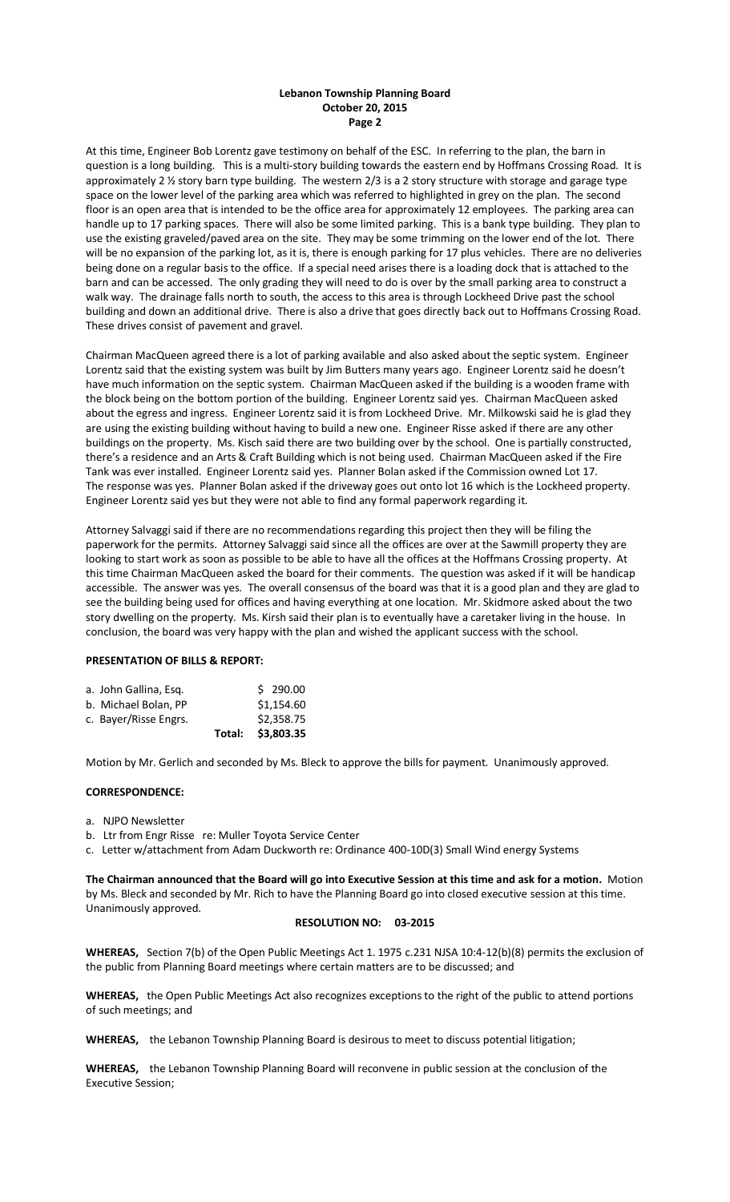## **Lebanon Township Planning Board October 20, 2015 Page 2**

At this time, Engineer Bob Lorentz gave testimony on behalf of the ESC. In referring to the plan, the barn in question is a long building. This is a multi-story building towards the eastern end by Hoffmans Crossing Road. It is approximately 2 ½ story barn type building. The western 2/3 is a 2 story structure with storage and garage type space on the lower level of the parking area which was referred to highlighted in grey on the plan. The second floor is an open area that is intended to be the office area for approximately 12 employees. The parking area can handle up to 17 parking spaces. There will also be some limited parking. This is a bank type building. They plan to use the existing graveled/paved area on the site. They may be some trimming on the lower end of the lot. There will be no expansion of the parking lot, as it is, there is enough parking for 17 plus vehicles. There are no deliveries being done on a regular basis to the office. If a special need arises there is a loading dock that is attached to the barn and can be accessed. The only grading they will need to do is over by the small parking area to construct a walk way. The drainage falls north to south, the access to this area is through Lockheed Drive past the school building and down an additional drive. There is also a drive that goes directly back out to Hoffmans Crossing Road. These drives consist of pavement and gravel.

Chairman MacQueen agreed there is a lot of parking available and also asked about the septic system. Engineer Lorentz said that the existing system was built by Jim Butters many years ago. Engineer Lorentz said he doesn't have much information on the septic system. Chairman MacQueen asked if the building is a wooden frame with the block being on the bottom portion of the building. Engineer Lorentz said yes. Chairman MacQueen asked about the egress and ingress. Engineer Lorentz said it is from Lockheed Drive. Mr. Milkowski said he is glad they are using the existing building without having to build a new one. Engineer Risse asked if there are any other buildings on the property. Ms. Kisch said there are two building over by the school. One is partially constructed, there's a residence and an Arts & Craft Building which is not being used. Chairman MacQueen asked if the Fire Tank was ever installed. Engineer Lorentz said yes. Planner Bolan asked if the Commission owned Lot 17. The response was yes. Planner Bolan asked if the driveway goes out onto lot 16 which is the Lockheed property. Engineer Lorentz said yes but they were not able to find any formal paperwork regarding it.

Attorney Salvaggi said if there are no recommendations regarding this project then they will be filing the paperwork for the permits. Attorney Salvaggi said since all the offices are over at the Sawmill property they are looking to start work as soon as possible to be able to have all the offices at the Hoffmans Crossing property. At this time Chairman MacQueen asked the board for their comments. The question was asked if it will be handicap accessible. The answer was yes. The overall consensus of the board was that it is a good plan and they are glad to see the building being used for offices and having everything at one location. Mr. Skidmore asked about the two story dwelling on the property. Ms. Kirsh said their plan is to eventually have a caretaker living in the house. In conclusion, the board was very happy with the plan and wished the applicant success with the school.

## **PRESENTATION OF BILLS & REPORT:**

|                       | Total: | \$3,803.35 |
|-----------------------|--------|------------|
| c. Bayer/Risse Engrs. |        | \$2,358.75 |
| b. Michael Bolan, PP  |        | \$1,154.60 |
| a. John Gallina, Esg. |        | \$290.00   |

Motion by Mr. Gerlich and seconded by Ms. Bleck to approve the bills for payment. Unanimously approved.

## **CORRESPONDENCE:**

- a. NJPO Newsletter
- b. Ltr from Engr Risse re: Muller Toyota Service Center
- c. Letter w/attachment from Adam Duckworth re: Ordinance 400-10D(3) Small Wind energy Systems

**The Chairman announced that the Board will go into Executive Session at this time and ask for a motion.** Motion by Ms. Bleck and seconded by Mr. Rich to have the Planning Board go into closed executive session at this time. Unanimously approved.

#### **RESOLUTION NO: 03-2015**

**WHEREAS,** Section 7(b) of the Open Public Meetings Act 1. 1975 c.231 NJSA 10:4-12(b)(8) permits the exclusion of the public from Planning Board meetings where certain matters are to be discussed; and

**WHEREAS,** the Open Public Meetings Act also recognizes exceptions to the right of the public to attend portions of such meetings; and

**WHEREAS,** the Lebanon Township Planning Board is desirous to meet to discuss potential litigation;

**WHEREAS,** the Lebanon Township Planning Board will reconvene in public session at the conclusion of the Executive Session;